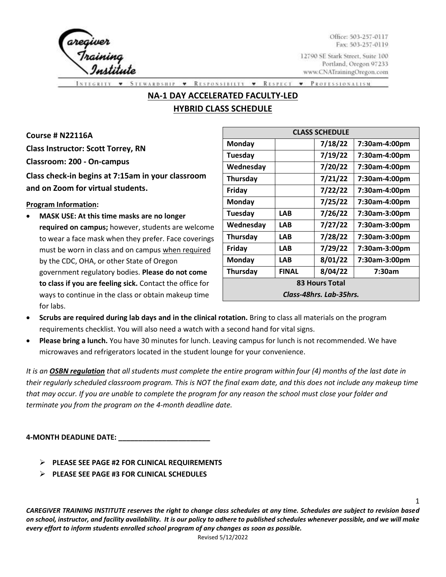

Office: 503-257-0117 Fax: 503-257-0119

1

12790 SE Stark Street, Suite 100 Portland, Oregon 97233 www.CNATrainingOregon.com

RESPONSIBILTY • RESPECT **STEWARDSHIP PROFESSIONALISM**  $\bullet$  $\cdot$ 

# **NA-1 DAY ACCELERATED FACULTY-LED HYBRID CLASS SCHEDULE**

**Course # N22116A Class Instructor: Scott Torrey, RN Classroom: 200 - On-campus Class check-in begins at 7:15am in your classroom and on Zoom for virtual students.**

#### **Program Information:**

• **MASK USE: At this time masks are no longer required on campus;** however, students are welcome to wear a face mask when they prefer. Face coverings must be worn in class and on campus when required by the CDC, OHA, or other State of Oregon government regulatory bodies. **Please do not come to class if you are feeling sick.** Contact the office for ways to continue in the class or obtain makeup time for labs.

| <b>CLASS SCHEDULE</b>   |              |         |               |  |  |  |  |
|-------------------------|--------------|---------|---------------|--|--|--|--|
| Monday                  |              | 7/18/22 | 7:30am-4:00pm |  |  |  |  |
| Tuesday                 |              | 7/19/22 | 7:30am-4:00pm |  |  |  |  |
| Wednesday               |              | 7/20/22 | 7:30am-4:00pm |  |  |  |  |
| Thursday                |              | 7/21/22 | 7:30am-4:00pm |  |  |  |  |
| Friday                  |              | 7/22/22 | 7:30am-4:00pm |  |  |  |  |
| Monday                  |              | 7/25/22 | 7:30am-4:00pm |  |  |  |  |
| Tuesday                 | <b>LAB</b>   | 7/26/22 | 7:30am-3:00pm |  |  |  |  |
| Wednesday               | <b>LAB</b>   | 7/27/22 | 7:30am-3:00pm |  |  |  |  |
| Thursday                | <b>LAB</b>   | 7/28/22 | 7:30am-3:00pm |  |  |  |  |
| Friday                  | <b>LAB</b>   | 7/29/22 | 7:30am-3:00pm |  |  |  |  |
| Monday                  | <b>LAB</b>   | 8/01/22 | 7:30am-3:00pm |  |  |  |  |
| Thursday                | <b>FINAL</b> | 8/04/22 | 7:30am        |  |  |  |  |
| <b>83 Hours Total</b>   |              |         |               |  |  |  |  |
| Class-48hrs. Lab-35hrs. |              |         |               |  |  |  |  |

- **Scrubs are required during lab days and in the clinical rotation.** Bring to class all materials on the program requirements checklist. You will also need a watch with a second hand for vital signs.
- **Please bring a lunch.** You have 30 minutes for lunch. Leaving campus for lunch is not recommended. We have microwaves and refrigerators located in the student lounge for your convenience.

*It is an OSBN regulation that all students must complete the entire program within four (4) months of the last date in their regularly scheduled classroom program. This is NOT the final exam date, and this does not include any makeup time that may occur. If you are unable to complete the program for any reason the school must close your folder and terminate you from the program on the 4-month deadline date.*

**4-MONTH DEADLINE DATE: \_\_\_\_\_\_\_\_\_\_\_\_\_\_\_\_\_\_\_\_\_\_\_**

- ➢ **PLEASE SEE PAGE #2 FOR CLINICAL REQUIREMENTS**
- ➢ **PLEASE SEE PAGE #3 FOR CLINICAL SCHEDULES**

*CAREGIVER TRAINING INSTITUTE reserves the right to change class schedules at any time. Schedules are subject to revision based on school, instructor, and facility availability. It is our policy to adhere to published schedules whenever possible, and we will make every effort to inform students enrolled school program of any changes as soon as possible.* 

Revised 5/12/2022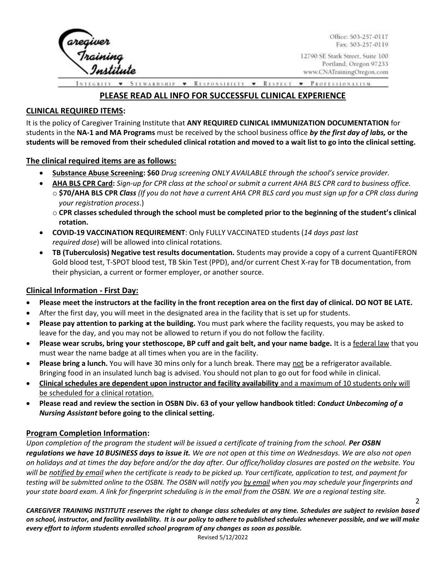

Office: 503-257-0117 Fax: 503-257-0119

2

12790 SE Stark Street, Suite 100 Portland, Oregon 97233 www.CNATrainingOregon.com

**STEWARDSHIP** RESPONSIBILTY • RESPECT • PROFESSIONALISM.  $\pmb{\mathrm{v}}$ 

## **PLEASE READ ALL INFO FOR SUCCESSFUL CLINICAL EXPERIENCE**

#### **CLINICAL REQUIRED ITEMS:**

It is the policy of Caregiver Training Institute that **ANY REQUIRED CLINICAL IMMUNIZATION DOCUMENTATION** for students in the **NA-1 and MA Programs** must be received by the school business office *by the first day of labs,* **or the students will be removed from their scheduled clinical rotation and moved to a wait list to go into the clinical setting.**

#### **The clinical required items are as follows:**

- **Substance Abuse Screening: \$60** *Drug screening ONLY AVAILABLE through the school's service provider.*
- **AHA BLS CPR Card:** *Sign-up for CPR class at the school or submit a current AHA BLS CPR card to business office.*  o **\$70/AHA BLS CPR** *Class (If you do not have a current AHA CPR BLS card you must sign up for a CPR class during your registration process*.)
	- o **CPR classes scheduled through the school must be completed prior to the beginning of the student's clinical rotation.**
- **COVID-19 VACCINATION REQUIREMENT**: Only FULLY VACCINATED students (*14 days past last required dose*) will be allowed into clinical rotations.
- **TB (Tuberculosis) Negative test results documentation.** Students may provide a copy of a current QuantiFERON Gold blood test, T-SPOT blood test, TB Skin Test (PPD), and/or current Chest X-ray for TB documentation, from their physician, a current or former employer, or another source.

#### **Clinical Information - First Day:**

- **Please meet the instructors at the facility in the front reception area on the first day of clinical. DO NOT BE LATE.**
- After the first day, you will meet in the designated area in the facility that is set up for students.
- **Please pay attention to parking at the building.** You must park where the facility requests, you may be asked to leave for the day, and you may not be allowed to return if you do not follow the facility.
- **Please wear scrubs, bring your stethoscope, BP cuff and gait belt, and your name badge.** It is a federal law that you must wear the name badge at all times when you are in the facility.
- **Please bring a lunch.** You will have 30 mins only for a lunch break. There may not be a refrigerator available. Bringing food in an insulated lunch bag is advised. You should not plan to go out for food while in clinical.
- **Clinical schedules are dependent upon instructor and facility availability** and a maximum of 10 students only will be scheduled for a clinical rotation.
- **Please read and review the section in OSBN Div. 63 of your yellow handbook titled:** *Conduct Unbecoming of a Nursing Assistant* **before going to the clinical setting.**

#### **Program Completion Information:**

*Upon completion of the program the student will be issued a certificate of training from the school. Per OSBN regulations we have 10 BUSINESS days to issue it. We are not open at this time on Wednesdays. We are also not open on holidays and at times the day before and/or the day after. Our office/holiday closures are posted on the website. You will be notified by email when the certificate is ready to be picked up. Your certificate, application to test, and payment for testing will be submitted online to the OSBN. The OSBN will notify you by email when you may schedule your fingerprints and your state board exam. A link for fingerprint scheduling is in the email from the OSBN. We are a regional testing site.* 

*CAREGIVER TRAINING INSTITUTE reserves the right to change class schedules at any time. Schedules are subject to revision based on school, instructor, and facility availability. It is our policy to adhere to published schedules whenever possible, and we will make every effort to inform students enrolled school program of any changes as soon as possible.* 

Revised 5/12/2022